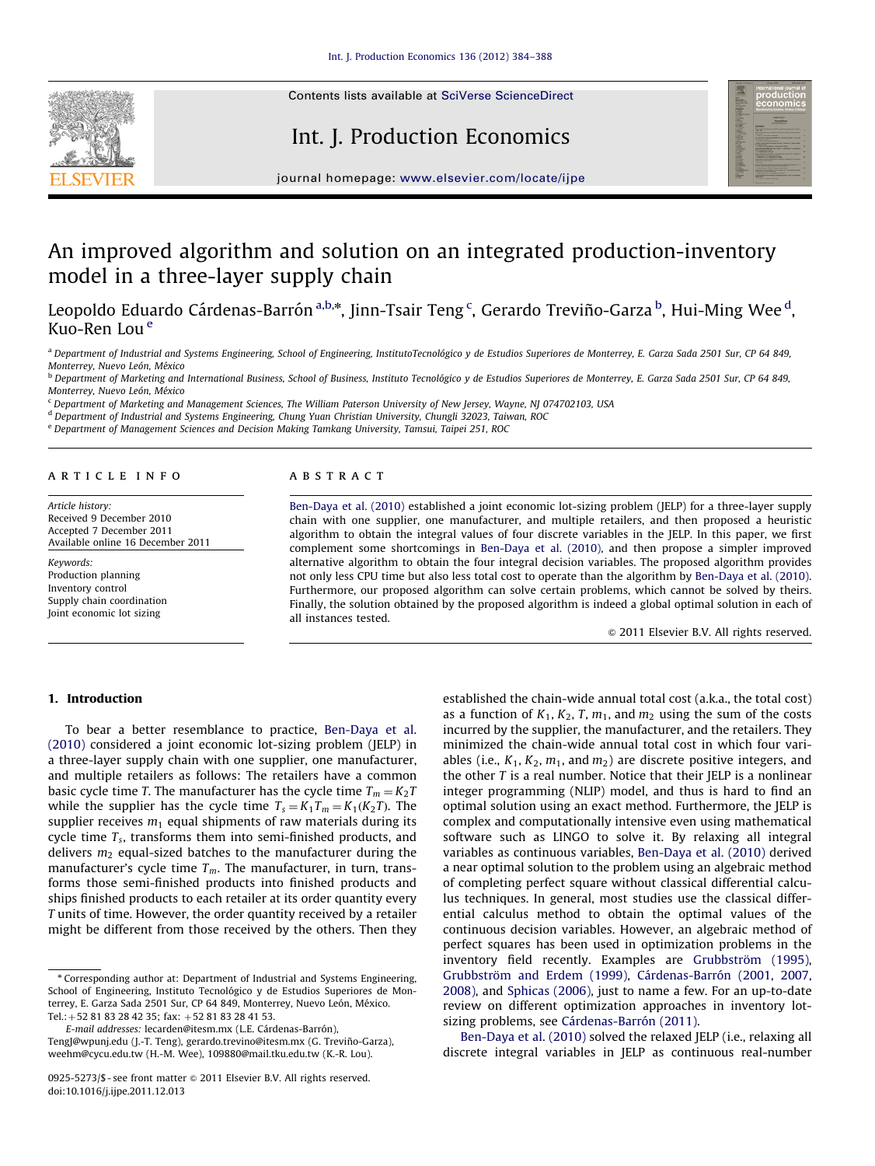

Contents lists available at [SciVerse ScienceDirect](www.elsevier.com/locate/ijpe)

## Int. J. Production Economics



journal homepage: <www.elsevier.com/locate/ijpe>

# An improved algorithm and solution on an integrated production-inventory model in a three-layer supply chain

Leopoldo Eduardo Cárdenas-Barrón <sup>a,b,</sup>\*, Jinn-Tsair Teng <sup>c</sup>, Gerardo Treviño-Garza <sup>b</sup>, Hui-Ming Wee <sup>d</sup>, Kuo-Ren Lou <sup>e</sup>

<sup>a</sup> Department of Industrial and Systems Engineering, School of Engineering, InstitutoTecnológico y de Estudios Superiores de Monterrey, E. Garza Sada 2501 Sur, CP 64 849, Monterrey, Nuevo León, México

<sup>b</sup> Department of Marketing and International Business, School of Business, Instituto Tecnológico y de Estudios Superiores de Monterrey, E. Garza Sada 2501 Sur, CP 64 849, Monterrey, Nuevo León, México

<sup>c</sup> Department of Marketing and Management Sciences, The William Paterson University of New Jersey, Wayne, NJ 074702103, USA

<sup>d</sup> Department of Industrial and Systems Engineering, Chung Yuan Christian University, Chungli 32023, Taiwan, ROC

<sup>e</sup> Department of Management Sciences and Decision Making Tamkang University, Tamsui, Taipei 251, ROC

#### article info

Article history: Received 9 December 2010 Accepted 7 December 2011 Available online 16 December 2011

Keywords: Production planning Inventory control Supply chain coordination Joint economic lot sizing

#### **ABSTRACT**

[Ben-Daya et al. \(2010\)](#page-4-0) established a joint economic lot-sizing problem (JELP) for a three-layer supply chain with one supplier, one manufacturer, and multiple retailers, and then proposed a heuristic algorithm to obtain the integral values of four discrete variables in the JELP. In this paper, we first complement some shortcomings in [Ben-Daya et al. \(2010\)](#page-4-0), and then propose a simpler improved alternative algorithm to obtain the four integral decision variables. The proposed algorithm provides not only less CPU time but also less total cost to operate than the algorithm by [Ben-Daya et al. \(2010\).](#page-4-0) Furthermore, our proposed algorithm can solve certain problems, which cannot be solved by theirs. Finally, the solution obtained by the proposed algorithm is indeed a global optimal solution in each of all instances tested.

 $\odot$  2011 Elsevier B.V. All rights reserved.

## 1. Introduction

To bear a better resemblance to practice, [Ben-Daya et al.](#page-4-0) [\(2010\)](#page-4-0) considered a joint economic lot-sizing problem (JELP) in a three-layer supply chain with one supplier, one manufacturer, and multiple retailers as follows: The retailers have a common basic cycle time T. The manufacturer has the cycle time  $T_m = K_2T$ while the supplier has the cycle time  $T_s = K_1 T_m = K_1 (K_2 T)$ . The supplier receives  $m_1$  equal shipments of raw materials during its cycle time  $T_s$ , transforms them into semi-finished products, and delivers  $m_2$  equal-sized batches to the manufacturer during the manufacturer's cycle time  $T_m$ . The manufacturer, in turn, transforms those semi-finished products into finished products and ships finished products to each retailer at its order quantity every T units of time. However, the order quantity received by a retailer might be different from those received by the others. Then they

E-mail addresses: lecarden@itesm.mx (L.E. Cárdenas-Barrón),

[TengJ@wpunj.edu \(J.-T. Teng\)](mailto:TengJ@wpunj.edu), gerardo.trevino@itesm.mx (G. Treviño-Garza), [weehm@cycu.edu.tw \(H.-M. Wee\),](mailto:weehm@cycu.edu.tw) [109880@mail.tku.edu.tw \(K.-R. Lou\)](mailto:109880@mail.tku.edu.tw).

established the chain-wide annual total cost (a.k.a., the total cost) as a function of  $K_1, K_2, T, m_1$ , and  $m_2$  using the sum of the costs incurred by the supplier, the manufacturer, and the retailers. They minimized the chain-wide annual total cost in which four variables (i.e.,  $K_1, K_2, m_1$ , and  $m_2$ ) are discrete positive integers, and the other  $T$  is a real number. Notice that their JELP is a nonlinear integer programming (NLIP) model, and thus is hard to find an optimal solution using an exact method. Furthermore, the JELP is complex and computationally intensive even using mathematical software such as LINGO to solve it. By relaxing all integral variables as continuous variables, [Ben-Daya et al. \(2010\)](#page-4-0) derived a near optimal solution to the problem using an algebraic method of completing perfect square without classical differential calculus techniques. In general, most studies use the classical differential calculus method to obtain the optimal values of the continuous decision variables. However, an algebraic method of perfect squares has been used in optimization problems in the inventory field recently. Examples are [Grubbstr](#page-4-0)ö[m \(1995\)](#page-4-0), Grubbström and Erdem (1999), Cárdenas-Barrón (2001, 2007, [2008\),](#page-4-0) and [Sphicas \(2006\)](#page-4-0), just to name a few. For an up-to-date review on different optimization approaches in inventory lotsizing problems, see Cárdenas-Barrón (2011).

[Ben-Daya et al. \(2010\)](#page-4-0) solved the relaxed JELP (i.e., relaxing all discrete integral variables in JELP as continuous real-number

<sup>n</sup> Corresponding author at: Department of Industrial and Systems Engineering, School of Engineering, Instituto Tecnológico y de Estudios Superiores de Monterrey, E. Garza Sada 2501 Sur, CP 64 849, Monterrey, Nuevo León, México. Tel.: +52 81 83 28 42 35; fax: +52 81 83 28 41 53.

<sup>0925-5273/\$ -</sup> see front matter  $\odot$  2011 Elsevier B.V. All rights reserved. doi:[10.1016/j.ijpe.2011.12.013](dx.doi.org/10.1016/j.ijpe.2011.12.013)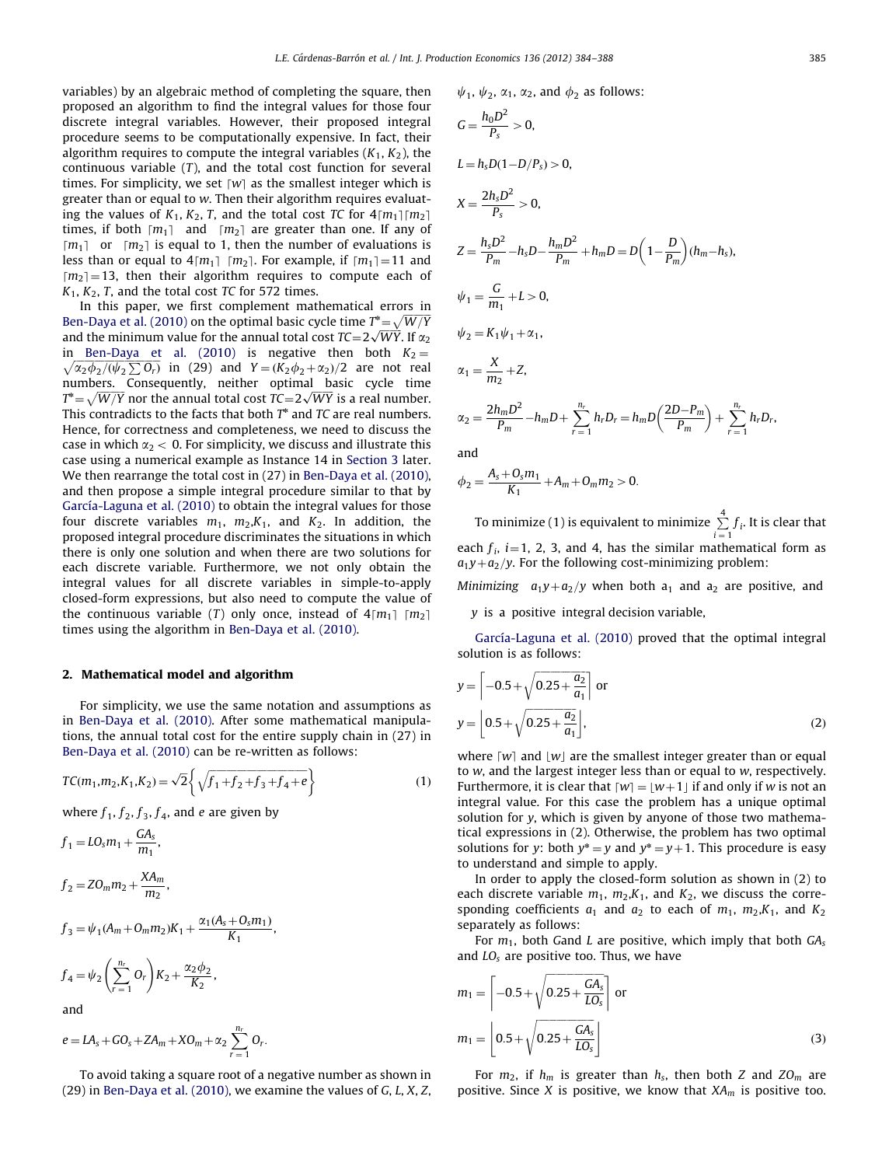variables) by an algebraic method of completing the square, then proposed an algorithm to find the integral values for those four discrete integral variables. However, their proposed integral procedure seems to be computationally expensive. In fact, their algorithm requires to compute the integral variables  $(K_1, K_2)$ , the continuous variable  $(T)$ , and the total cost function for several times. For simplicity, we set  $[w]$  as the smallest integer which is greater than or equal to w. Then their algorithm requires evaluating the values of  $K_1, K_2, T$ , and the total cost TC for  $4 \lceil m_1 \rceil \lceil m_2 \rceil$ times, if both  $[m_1]$  and  $[m_2]$  are greater than one. If any of  $[m_1]$  or  $[m_2]$  is equal to 1, then the number of evaluations is less than or equal to  $4\lceil m_1 \rceil \lceil m_2 \rceil$ . For example, if  $\lceil m_1 \rceil = 11$  and  $[m<sub>2</sub>] = 13$ , then their algorithm requires to compute each of  $K_1, K_2, T$ , and the total cost TC for 572 times.

In this paper, we first complement mathematical errors in [Ben-Daya et al. \(2010\)](#page-4-0) on the optimal basic cycle time  $T^* = \sqrt{W/Y}$ ben-Daya et al. (2010) on the optimal basic cycle time  $T = \sqrt{W}T$ <br>and the minimum value for the annual total cost  $TC=2\sqrt{W}T$ . If  $\alpha_2$ in [Ben-Daya et al. \(2010\)](#page-4-0) is negative then both  $K_2 =$  $\sqrt{\alpha_2 \phi_2 / (\psi_2 \sum O_r)}$  in (29) and  $Y = (K_2 \phi_2 + \alpha_2)/2$  are not real numbers. Consequently, neither optimal basic cycle time numbers. Consequently, neither optimal basic cycle time<br> $T^* = \sqrt{W/Y}$  nor the annual total cost  $TC = 2\sqrt{WY}$  is a real number. This contradicts to the facts that both  $T^*$  and  $TC$  are real numbers. Hence, for correctness and completeness, we need to discuss the case in which  $\alpha_2$  < 0. For simplicity, we discuss and illustrate this case using a numerical example as Instance 14 in [Section 3](#page-2-0) later. We then rearrange the total cost in (27) in [Ben-Daya et al. \(2010\),](#page-4-0) and then propose a simple integral procedure similar to that by García-Laguna et al. (2010) to obtain the integral values for those four discrete variables  $m_1$ ,  $m_2$ ,  $K_1$ , and  $K_2$ . In addition, the proposed integral procedure discriminates the situations in which there is only one solution and when there are two solutions for each discrete variable. Furthermore, we not only obtain the integral values for all discrete variables in simple-to-apply closed-form expressions, but also need to compute the value of the continuous variable (T) only once, instead of  $4[m_1]$   $[m_2]$ times using the algorithm in [Ben-Daya et al. \(2010\).](#page-4-0)

## 2. Mathematical model and algorithm

For simplicity, we use the same notation and assumptions as in [Ben-Daya et al. \(2010\)](#page-4-0). After some mathematical manipulations, the annual total cost for the entire supply chain in (27) in [Ben-Daya et al. \(2010\)](#page-4-0) can be re-written as follows:

$$
TC(m_1, m_2, K_1, K_2) = \sqrt{2} \left\{ \sqrt{f_1 + f_2 + f_3 + f_4 + e} \right\}
$$
 (1)

where  $f_1$ ,  $f_2$ ,  $f_3$ ,  $f_4$ , and *e* are given by

$$
f_1 = LO_s m_1 + \frac{GA_s}{m_1},
$$
  
\n
$$
f_2 = ZO_m m_2 + \frac{XA_m}{m_2},
$$
  
\n
$$
f_3 = \psi_1 (A_m + O_m m_2) K_1 + \frac{\alpha_1 (A_s + O_s m_1)}{K_1},
$$
  
\n
$$
f_4 = \psi_2 \left(\sum_{r=1}^{n_r} O_r\right) K_2 + \frac{\alpha_2 \phi_2}{K_2},
$$

and

$$
e = LA_s+GO_s+ZA_m+XO_m+\alpha_2\sum_{r=1}^{n_r}O_r.
$$

To avoid taking a square root of a negative number as shown in (29) in [Ben-Daya et al. \(2010\),](#page-4-0) we examine the values of G, L, X, Z,  $\psi_1$ ,  $\psi_2$ ,  $\alpha_1$ ,  $\alpha_2$ , and  $\phi_2$  as follows:

$$
G = \frac{h_0 D^2}{P_s} > 0,
$$
  
\n
$$
L = h_s D (1 - D/P_s) > 0,
$$
  
\n
$$
X = \frac{2h_s D^2}{P_s} > 0,
$$
  
\n
$$
Z = \frac{h_s D^2}{P_m} - h_s D - \frac{h_m D^2}{P_m} + h_m D = D \left( 1 - \frac{D}{P_m} \right) (h_m - h_s),
$$
  
\n
$$
\psi_1 = \frac{G}{m_1} + L > 0,
$$
  
\n
$$
\psi_2 = K_1 \psi_1 + \alpha_1,
$$
  
\n
$$
\alpha_1 = \frac{X}{m_2} + Z,
$$
  
\n
$$
\alpha_2 = \frac{2h_m D^2}{P_m} - h_m D + \sum_{r=1}^{n_r} h_r D_r = h_m D \left( \frac{2D - P_m}{P_m} \right) + \sum_{r=1}^{n_r} h_r D_r,
$$

and

$$
\phi_2 = \frac{A_s + O_s m_1}{K_1} + A_m + O_m m_2 > 0.
$$

To minimize (1) is equivalent to minimize  $\sum_{i=1}^{4} f_i$ . It is clear that each  $f_i$ ,  $i=1$ , 2, 3, and 4, has the similar mathematical form as  $a_1y+a_2/y$ . For the following cost-minimizing problem:

Minimizing  $a_1y+a_2/y$  when both  $a_1$  and  $a_2$  are positive, and

y is a positive integral decision variable,

García-Laguna et al. (2010) proved that the optimal integral solution is as follows:

$$
y = \left[ -0.5 + \sqrt{0.25 + \frac{a_2}{a_1}} \right] \text{ or}
$$
  

$$
y = \left[ 0.5 + \sqrt{0.25 + \frac{a_2}{a_1}} \right],
$$
 (2)

where  $\lceil w \rceil$  and  $\lceil w \rceil$  are the smallest integer greater than or equal to w, and the largest integer less than or equal to w, respectively. Furthermore, it is clear that  $[w] = \lfloor w + 1 \rfloor$  if and only if w is not an integral value. For this case the problem has a unique optimal solution for  $y$ , which is given by anyone of those two mathematical expressions in (2). Otherwise, the problem has two optimal solutions for y: both  $y^* = y$  and  $y^* = y + 1$ . This procedure is easy to understand and simple to apply.

In order to apply the closed-form solution as shown in (2) to each discrete variable  $m_1$ ,  $m_2$ ,  $K_1$ , and  $K_2$ , we discuss the corresponding coefficients  $a_1$  and  $a_2$  to each of  $m_1$ ,  $m_2$ ,  $K_1$ , and  $K_2$ separately as follows:

For  $m_1$ , both Gand L are positive, which imply that both  $GA_s$ and  $LO_s$  are positive too. Thus, we have

$$
m_1 = \left[ -0.5 + \sqrt{0.25 + \frac{GA_s}{LO_s}} \right] \text{ or}
$$
  

$$
m_1 = \left[ 0.5 + \sqrt{0.25 + \frac{GA_s}{LO_s}} \right]
$$
 (3)

For  $m_2$ , if  $h_m$  is greater than  $h_s$ , then both Z and  $ZO_m$  are positive. Since X is positive, we know that  $XA<sub>m</sub>$  is positive too.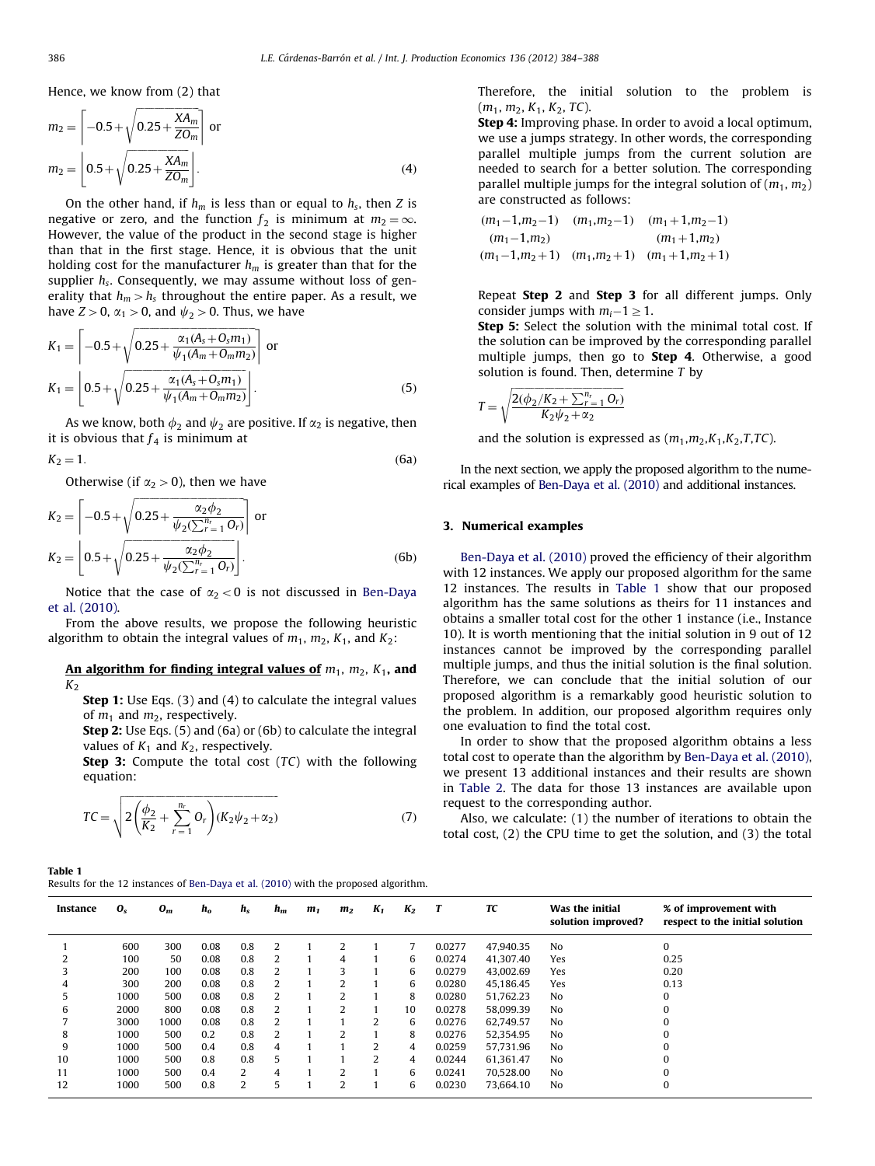<span id="page-2-0"></span>Hence, we know from (2) that

$$
m_2 = \left[ -0.5 + \sqrt{0.25 + \frac{XA_m}{ZO_m}} \right] \text{ or}
$$
  

$$
m_2 = \left[ 0.5 + \sqrt{0.25 + \frac{XA_m}{ZO_m}} \right].
$$
 (4)

On the other hand, if  $h_m$  is less than or equal to  $h_s$ , then Z is negative or zero, and the function  $f_2$  is minimum at  $m_2 = \infty$ . However, the value of the product in the second stage is higher than that in the first stage. Hence, it is obvious that the unit holding cost for the manufacturer  $h_m$  is greater than that for the supplier  $h_s$ . Consequently, we may assume without loss of generality that  $h_m > h_s$  throughout the entire paper. As a result, we have  $Z>0$ ,  $\alpha_1>0$ , and  $\psi_2>0$ . Thus, we have

$$
K_1 = \left[ -0.5 + \sqrt{0.25 + \frac{\alpha_1(A_s + O_s m_1)}{\psi_1(A_m + O_m m_2)}} \right] \text{ or}
$$
  
\n
$$
K_1 = \left[ 0.5 + \sqrt{0.25 + \frac{\alpha_1(A_s + O_s m_1)}{\psi_1(A_m + O_m m_2)}} \right].
$$
\n(5)

As we know, both  $\phi_2$  and  $\psi_2$  are positive. If  $\alpha_2$  is negative, then it is obvious that  $f_4$  is minimum at

$$
K_2 = 1. \tag{6a}
$$

Otherwise (if  $\alpha_2 > 0$ ), then we have

$$
K_2 = \left[ -0.5 + \sqrt{0.25 + \frac{\alpha_2 \phi_2}{\psi_2(\sum_{r=1}^{n_r} O_r)}} \right] \text{ or}
$$
  
\n
$$
K_2 = \left[ 0.5 + \sqrt{0.25 + \frac{\alpha_2 \phi_2}{\psi_2(\sum_{r=1}^{n_r} O_r)}} \right].
$$
 (6b)

Notice that the case of  $\alpha_2<0$  is not discussed in [Ben-Daya](#page-4-0) [et al. \(2010\).](#page-4-0)

From the above results, we propose the following heuristic algorithm to obtain the integral values of  $m_1$ ,  $m_2$ ,  $K_1$ , and  $K_2$ :

## An algorithm for finding integral values of  $m_1$ ,  $m_2$ ,  $K_1$ , and  $K<sub>2</sub>$

Step 1: Use Eqs. (3) and (4) to calculate the integral values of  $m_1$  and  $m_2$ , respectively.

Step 2: Use Eqs. (5) and (6a) or (6b) to calculate the integral values of  $K_1$  and  $K_2$ , respectively.

Step 3: Compute the total cost (TC) with the following equation:

$$
TC = \sqrt{2\left(\frac{\phi_2}{K_2} + \sum_{r=1}^{n_r} O_r\right) (K_2 \psi_2 + \alpha_2)}
$$
(7)

Table 1

| Results for the 12 instances of Ben-Daya et al. (2010) with the proposed algorithm. |  |
|-------------------------------------------------------------------------------------|--|
|-------------------------------------------------------------------------------------|--|

Therefore, the initial solution to the problem is  $(m_1, m_2, K_1, K_2, TC).$ 

Step 4: Improving phase. In order to avoid a local optimum, we use a jumps strategy. In other words, the corresponding parallel multiple jumps from the current solution are needed to search for a better solution. The corresponding parallel multiple jumps for the integral solution of  $(m_1, m_2)$ are constructed as follows:

$$
(m_1-1,m_2-1) \quad (m_1,m_2-1) \quad (m_1+1,m_2-1)
$$
  
\n
$$
(m_1-1,m_2) \quad (m_1+1,m_2)
$$
  
\n
$$
(m_1-1,m_2+1) \quad (m_1,m_2+1) \quad (m_1+1,m_2+1)
$$

Repeat Step 2 and Step 3 for all different jumps. Only consider jumps with  $m_i - 1 \geq 1$ .

Step 5: Select the solution with the minimal total cost. If the solution can be improved by the corresponding parallel multiple jumps, then go to Step 4. Otherwise, a good solution is found. Then, determine  $T$  by

$$
T = \sqrt{\frac{2(\phi_2/K_2 + \sum_{r=1}^{n_r} O_r)}{K_2 \psi_2 + \alpha_2}}
$$

and the solution is expressed as  $(m_1,m_2,K_1,K_2,T,TC)$ .

In the next section, we apply the proposed algorithm to the numerical examples of [Ben-Daya et al. \(2010\)](#page-4-0) and additional instances.

## 3. Numerical examples

[Ben-Daya et al. \(2010\)](#page-4-0) proved the efficiency of their algorithm with 12 instances. We apply our proposed algorithm for the same 12 instances. The results in Table 1 show that our proposed algorithm has the same solutions as theirs for 11 instances and obtains a smaller total cost for the other 1 instance (i.e., Instance 10). It is worth mentioning that the initial solution in 9 out of 12 instances cannot be improved by the corresponding parallel multiple jumps, and thus the initial solution is the final solution. Therefore, we can conclude that the initial solution of our proposed algorithm is a remarkably good heuristic solution to the problem. In addition, our proposed algorithm requires only one evaluation to find the total cost.

In order to show that the proposed algorithm obtains a less total cost to operate than the algorithm by [Ben-Daya et al. \(2010\),](#page-4-0) we present 13 additional instances and their results are shown in [Table 2](#page-3-0). The data for those 13 instances are available upon request to the corresponding author.

Also, we calculate: (1) the number of iterations to obtain the total cost, (2) the CPU time to get the solution, and (3) the total

| Instance | $\mathbf{0}_s$ | $O_m$ | $h_{o}$ | $h_s$ | $h_m$          | m <sub>1</sub> | m <sub>2</sub> | $K_1$ | $K_2$ | T      | TC        | Was the initial<br>solution improved? | % of improvement with<br>respect to the initial solution |
|----------|----------------|-------|---------|-------|----------------|----------------|----------------|-------|-------|--------|-----------|---------------------------------------|----------------------------------------------------------|
|          | 600            | 300   | 0.08    | 0.8   | 2              |                |                |       |       | 0.0277 | 47.940.35 | No                                    | 0                                                        |
|          | 100            | 50    | 0.08    | 0.8   | 2              |                | 4              |       | 6     | 0.0274 | 41.307.40 | Yes                                   | 0.25                                                     |
| 3        | 200            | 100   | 0.08    | 0.8   | 2              |                |                |       | 6     | 0.0279 | 43,002.69 | Yes                                   | 0.20                                                     |
| 4        | 300            | 200   | 0.08    | 0.8   | 2              |                |                |       | 6     | 0.0280 | 45,186.45 | Yes                                   | 0.13                                                     |
| 5        | 1000           | 500   | 0.08    | 0.8   | 2              |                |                |       | 8     | 0.0280 | 51,762.23 | No                                    | $\Omega$                                                 |
| 6        | 2000           | 800   | 0.08    | 0.8   | 2              |                |                |       | 10    | 0.0278 | 58.099.39 | No                                    | 0                                                        |
|          | 3000           | 1000  | 0.08    | 0.8   | 2              |                |                | 2     | 6     | 0.0276 | 62.749.57 | No                                    | $\Omega$                                                 |
| 8        | 1000           | 500   | 0.2     | 0.8   | $\overline{2}$ |                |                |       | 8     | 0.0276 | 52,354.95 | No                                    | $\Omega$                                                 |
| 9        | 1000           | 500   | 0.4     | 0.8   | 4              |                |                | 2     | 4     | 0.0259 | 57.731.96 | No                                    | 0                                                        |
| 10       | 1000           | 500   | 0.8     | 0.8   | 5              |                |                | 2     | 4     | 0.0244 | 61.361.47 | No                                    | 0                                                        |
| 11       | 1000           | 500   | 0.4     | 2     | 4              |                |                |       | 6     | 0.0241 | 70.528.00 | No                                    | $\Omega$                                                 |
| 12       | 1000           | 500   | 0.8     | 2     | 5              |                | 2              |       | 6     | 0.0230 | 73,664.10 | No                                    | 0                                                        |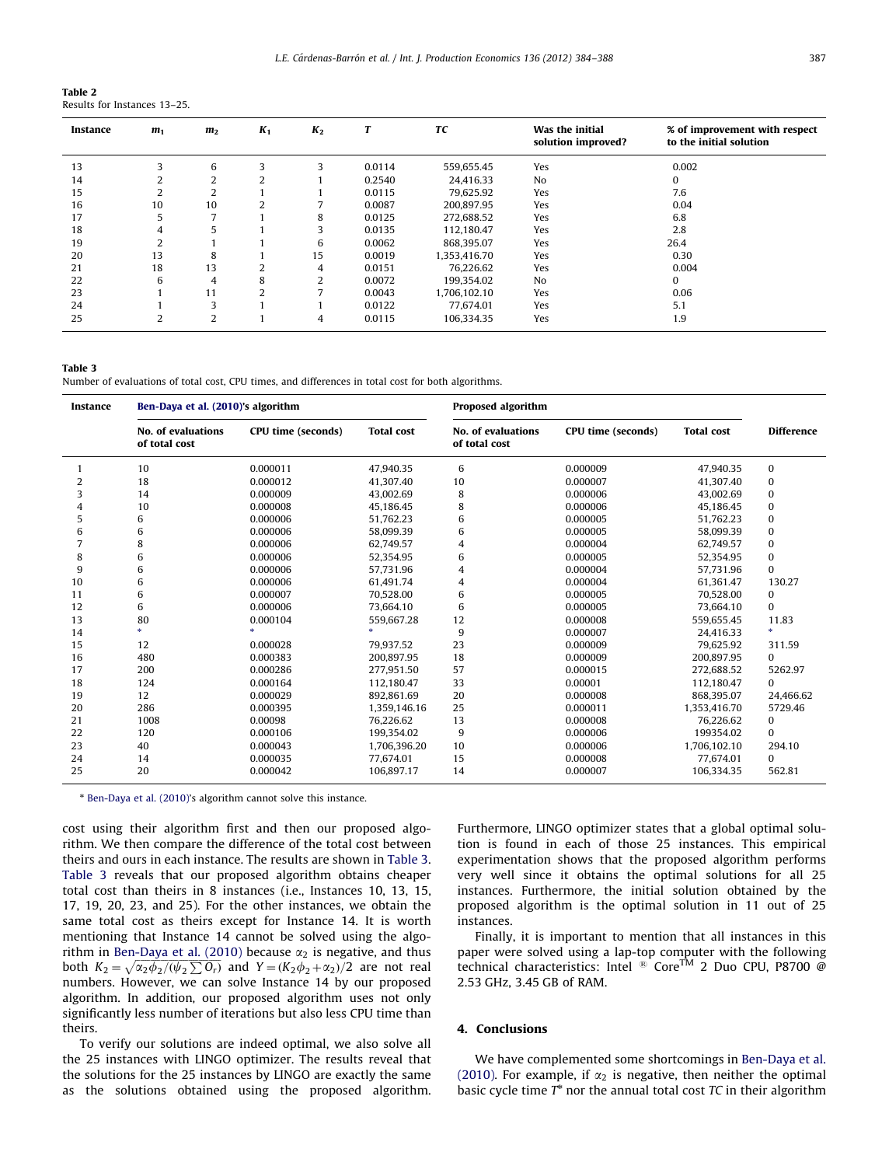<span id="page-3-0"></span>

| Table 2 |                              |  |
|---------|------------------------------|--|
|         | Results for Instances 13–25. |  |

| Instance | m <sub>1</sub> | m <sub>2</sub> | $K_1$        | $K_2$ |        | TC           | Was the initial<br>solution improved? | % of improvement with respect<br>to the initial solution |
|----------|----------------|----------------|--------------|-------|--------|--------------|---------------------------------------|----------------------------------------------------------|
| 13       |                | 6              |              |       | 0.0114 | 559.655.45   | Yes                                   | 0.002                                                    |
| 14       |                | 2              | ∠            |       | 0.2540 | 24.416.33    | N <sub>0</sub>                        | 0                                                        |
| 15       |                | 2              |              |       | 0.0115 | 79,625.92    | Yes                                   | 7.6                                                      |
| 16       | 10             | 10             |              |       | 0.0087 | 200,897.95   | Yes                                   | 0.04                                                     |
| 17       |                | $\overline{7}$ |              | 8     | 0.0125 | 272,688.52   | Yes                                   | 6.8                                                      |
| 18       | 4              | 5              |              |       | 0.0135 | 112,180.47   | Yes                                   | 2.8                                                      |
| 19       |                |                |              | 6     | 0.0062 | 868,395.07   | Yes                                   | 26.4                                                     |
| 20       | 13             | 8              |              | 15    | 0.0019 | 1,353,416.70 | Yes                                   | 0.30                                                     |
| 21       | 18             | 13             |              | 4     | 0.0151 | 76,226.62    | Yes                                   | 0.004                                                    |
| 22       | 6              | 4              | 8            | ຳ     | 0.0072 | 199.354.02   | N <sub>0</sub>                        | 0                                                        |
| 23       |                | 11             | <sup>1</sup> |       | 0.0043 | 1,706,102.10 | Yes                                   | 0.06                                                     |
| 24       |                | 3              |              |       | 0.0122 | 77.674.01    | Yes                                   | 5.1                                                      |
| 25       | 2              | $\overline{2}$ |              | 4     | 0.0115 | 106.334.35   | Yes                                   | 1.9                                                      |

## Table 3

Number of evaluations of total cost, CPU times, and differences in total cost for both algorithms.

| Instance | Ben-Daya et al. (2010)'s algorithm  |                    |                   | <b>Proposed algorithm</b>           |                    |                   |                   |
|----------|-------------------------------------|--------------------|-------------------|-------------------------------------|--------------------|-------------------|-------------------|
|          | No. of evaluations<br>of total cost | CPU time (seconds) | <b>Total cost</b> | No. of evaluations<br>of total cost | CPU time (seconds) | <b>Total cost</b> | <b>Difference</b> |
|          | 10                                  | 0.000011           | 47,940.35         | 6                                   | 0.000009           | 47,940.35         | 0                 |
| 2        | 18                                  | 0.000012           | 41.307.40         | 10                                  | 0.000007           | 41.307.40         | 0                 |
| 3        | 14                                  | 0.000009           | 43,002.69         | 8                                   | 0.000006           | 43,002.69         | 0                 |
| 4        | 10                                  | 0.000008           | 45.186.45         | 8                                   | 0.000006           | 45.186.45         | 0                 |
| 5        | 6                                   | 0.000006           | 51,762.23         | 6                                   | 0.000005           | 51,762.23         | 0                 |
| 6        | 6                                   | 0.000006           | 58,099.39         | 6                                   | 0.000005           | 58,099.39         | 0                 |
| 7        | 8                                   | 0.000006           | 62.749.57         | 4                                   | 0.000004           | 62.749.57         | 0                 |
| 8        | 6                                   | 0.000006           | 52,354.95         | 6                                   | 0.000005           | 52,354.95         | 0                 |
| 9        | 6                                   | 0.000006           | 57,731.96         | 4                                   | 0.000004           | 57,731.96         | $\mathbf{0}$      |
| 10       | 6                                   | 0.000006           | 61.491.74         | 4                                   | 0.000004           | 61.361.47         | 130.27            |
| 11       | 6                                   | 0.000007           | 70,528.00         | 6                                   | 0.000005           | 70,528.00         | 0                 |
| 12       | 6                                   | 0.000006           | 73.664.10         | 6                                   | 0.000005           | 73.664.10         | $\bf{0}$          |
| 13       | 80                                  | 0.000104           | 559,667.28        | 12                                  | 0.000008           | 559,655.45        | 11.83             |
| 14       |                                     | sk.                | sk.               | 9                                   | 0.000007           | 24.416.33         |                   |
| 15       | 12                                  | 0.000028           | 79.937.52         | 23                                  | 0.000009           | 79.625.92         | 311.59            |
| 16       | 480                                 | 0.000383           | 200,897.95        | 18                                  | 0.000009           | 200,897.95        | $\Omega$          |
| 17       | 200                                 | 0.000286           | 277,951.50        | 57                                  | 0.000015           | 272,688.52        | 5262.97           |
| 18       | 124                                 | 0.000164           | 112,180.47        | 33                                  | 0.00001            | 112,180.47        | 0                 |
| 19       | 12                                  | 0.000029           | 892.861.69        | 20                                  | 0.000008           | 868.395.07        | 24,466.62         |
| 20       | 286                                 | 0.000395           | 1.359.146.16      | 25                                  | 0.000011           | 1.353.416.70      | 5729.46           |
| 21       | 1008                                | 0.00098            | 76,226.62         | 13                                  | 0.000008           | 76,226.62         | 0                 |
| 22       | 120                                 | 0.000106           | 199.354.02        | 9                                   | 0.000006           | 199354.02         | $\Omega$          |
| 23       | 40                                  | 0.000043           | 1,706,396.20      | 10                                  | 0.000006           | 1,706,102.10      | 294.10            |
| 24       | 14                                  | 0.000035           | 77,674.01         | 15                                  | 0.000008           | 77,674.01         | $\Omega$          |
| 25       | 20                                  | 0.000042           | 106,897.17        | 14                                  | 0.000007           | 106,334.35        | 562.81            |

\* [Ben-Daya et al. \(2010\)'](#page-4-0)s algorithm cannot solve this instance.

cost using their algorithm first and then our proposed algorithm. We then compare the difference of the total cost between theirs and ours in each instance. The results are shown in Table 3. Table 3 reveals that our proposed algorithm obtains cheaper total cost than theirs in 8 instances (i.e., Instances 10, 13, 15, 17, 19, 20, 23, and 25). For the other instances, we obtain the same total cost as theirs except for Instance 14. It is worth mentioning that Instance 14 cannot be solved using the algo-rithm in [Ben-Daya et al. \(2010\)](#page-4-0) because  $\alpha_2$  is negative, and thus both  $K_2 = \sqrt{\alpha_2 \phi_2 / (\psi_2 \sum O_r)}$  and  $Y = (K_2 \phi_2 + \alpha_2)/2$  are not real numbers. However, we can solve Instance 14 by our proposed algorithm. In addition, our proposed algorithm uses not only significantly less number of iterations but also less CPU time than theirs.

To verify our solutions are indeed optimal, we also solve all the 25 instances with LINGO optimizer. The results reveal that the solutions for the 25 instances by LINGO are exactly the same as the solutions obtained using the proposed algorithm. Furthermore, LINGO optimizer states that a global optimal solution is found in each of those 25 instances. This empirical experimentation shows that the proposed algorithm performs very well since it obtains the optimal solutions for all 25 instances. Furthermore, the initial solution obtained by the proposed algorithm is the optimal solution in 11 out of 25 instances.

Finally, it is important to mention that all instances in this paper were solved using a lap-top computer with the following technical characteristics: Intel ® Core<sup>TM</sup> 2 Duo CPU, P8700 @ 2.53 GHz, 3.45 GB of RAM.

## 4. Conclusions

We have complemented some shortcomings in [Ben-Daya et al.](#page-4-0) [\(2010\).](#page-4-0) For example, if  $\alpha_2$  is negative, then neither the optimal basic cycle time  $T^*$  nor the annual total cost  $TC$  in their algorithm